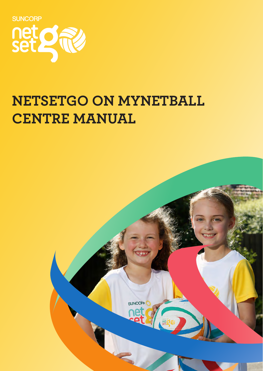

# **NETSETGO ON MYNETBALL CENTRE MANUAL**

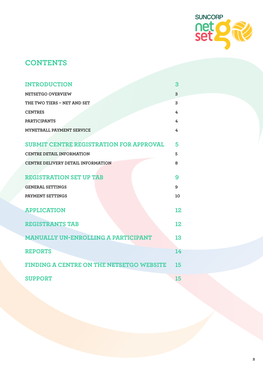

# **CONTENTS**

| <b>INTRODUCTION</b>                             | 3  |
|-------------------------------------------------|----|
| NETSETGO OVERVIEW                               | 3  |
| THE TWO TIERS - NET AND SET                     | 3  |
| <b>CENTRES</b>                                  | 4  |
| <b>PARTICIPANTS</b>                             | 4  |
| MYNETBALL PAYMENT SERVICE                       | 4  |
| <b>SUBMIT CENTRE REGISTRATION FOR APPROVAL</b>  | 5  |
| <b>CENTRE DETAIL INFORMATION</b>                | 5  |
| <b>CENTRE DELIVERY DETAIL INFORMATION</b>       | 8  |
|                                                 |    |
| <b>REGISTRATION SET UP TAB</b>                  | 9  |
| <b>GENERAL SETTINGS</b>                         | 9  |
| PAYMENT SETTINGS                                | 10 |
| <b>APPLICATION</b>                              | 12 |
| <b>REGISTRANTS TAB</b>                          | 12 |
| <b>MANUALLY UN-ENROLLING A PARTICIPANT</b>      | 13 |
| <b>REPORTS</b>                                  | 14 |
| <b>FINDING A CENTRE ON THE NETSETGO WEBSITE</b> | 15 |
| <b>SUPPORT</b>                                  | 15 |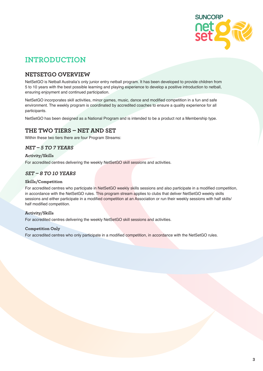

# **INTRODUCTION**

### **NETSETGO OVERVIEW**

NetSetGO is Netball Australia's only junior entry netball program. It has been developed to provide children from 5 to 10 years with the best possible learning and playing experience to develop a positive introduction to netball, ensuring enjoyment and continued participation.

NetSetGO incorporates skill activities, minor games, music, dance and modified competition in a fun and safe environment. The weekly program is coordinated by accredited coaches to ensure a quality experience for all participants.

NetSetGO has been designed as a National Program and is intended to be a product not a Membership type.

### **THE TWO TIERS – NET AND SET**

Within these two tiers there are four Program Streams:

### **NET – 5 TO 7 YEARS**

### **Activity/Skills**

For accredited centres delivering the weekly NetSetGO skill sessions and activities.

### **SET – 8 TO 10 YEARS**

### **Skills/Competition**

For accredited centres who participate in NetSetGO weekly skills sessions and also participate in a modified competition, in accordance with the NetSetGO rules. This program stream applies to clubs that deliver NetSetGO weekly skills sessions and either participate in a modified competition at an Association or run their weekly sessions with half skills/ half modified competition.

### **Activity/Skills**

For accredited centres delivering the weekly NetSetGO skill sessions and activities.

### **Competition Only**

For accredited centres who only participate in a modified competition, in accordance with the NetSetGO rules.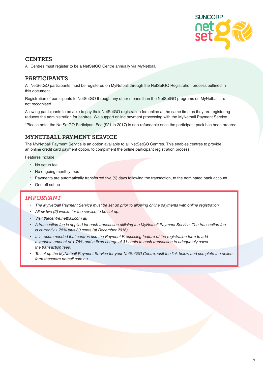

### **CENTRES**

All Centres must register to be a NetSetGO Centre annually via MyNetball.

### **PARTICIPANTS**

All NetSetGO participants must be registered on MyNetball through the NetSetGO Registration process outlined in this document.

Registration of participants to NetSetGO through any other means than the NetSetGO programs on MyNetball are not recognised.

Allowing participants to be able to pay their NetSetGO registration fee online at the same time as they are registering reduces the administration for centres. We support online payment processing with the MyNetball Payment Service

\*Please note: the NetSetGO Participant Fee (\$21 in 2017) is non-refundable once the participant pack has been ordered.

### **MYNETBALL PAYMENT SERVICE**

The MyNetball Payment Service is an option available to all NetSetGO Centres. This enables centres to provide an online credit card payment option, to compliment the online participant registration process.

Features include:

- No setup fee
- No ongoing monthly fees
- Payments are automatically transferred five (5) days following the transaction, to the nominated bank account.
- One off set up

### **IMPORTANT**

- The MyNetball Payment Service must be set up prior to allowing online payments with online registration.
- Allow two (2) weeks for the service to be set up.
- Visit thecentre.netball.com.au
- A transaction fee is applied for each transaction utilising the MyNetball Payment Service. The transaction fee is currently 1.75% plus 30 cents (at December 2016).
- It is recommended that centres use the Payment Processing feature of the registration form to add a variable amount of 1.78% and a fixed charge of 31 cents to each transaction to adequately cover the transaction fees.
- To set up the MyNetball Payment Service for your NetSetGO Centre, visit the link below and complete the online form thecentre nethall com au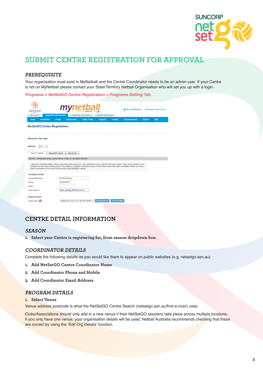

# **SUBMIT CENTRE REGISTRATION FOR APPROVAL**

### **PREREQUISITE**

Your organisation must exist in MyNetball and the Centre Coordinator needs to be an admin user. If your Centre is not on MyNetball please contact your State/Territory Netball Organisation who will set you up with a login.

**Programs > NetSetGO Centre Registration > Programs Setting Tab**

|                                                                                |                               | mynetb                        | powered by interactsPORT         |                       |                | <b>Ö</b> Rachel Mulcahy v <b>A</b> Rochelle's Test Club v                                                                                                                                                                                                                                                      |                |             |
|--------------------------------------------------------------------------------|-------------------------------|-------------------------------|----------------------------------|-----------------------|----------------|----------------------------------------------------------------------------------------------------------------------------------------------------------------------------------------------------------------------------------------------------------------------------------------------------------------|----------------|-------------|
| Governance                                                                     | <b>Competition Management</b> |                               | <b>Competition Participation</b> | Website (SportzVault) |                |                                                                                                                                                                                                                                                                                                                |                |             |
| <b>Competition</b><br>Home                                                     | People                        | <b>Registrations</b>          | <b>Online Forms</b>              | <b>Programs</b>       | <b>Umpires</b> | <b>Communications</b>                                                                                                                                                                                                                                                                                          | <b>Reports</b> | <b>Help</b> |
| <b>NetSetGO Centre Registration</b>                                            |                               |                               |                                  |                       |                |                                                                                                                                                                                                                                                                                                                |                |             |
| <b>Rochelle's Test Club</b>                                                    |                               |                               |                                  |                       |                |                                                                                                                                                                                                                                                                                                                |                |             |
| Season:<br>2017<br>۰                                                           |                               |                               |                                  |                       |                |                                                                                                                                                                                                                                                                                                                |                |             |
| Program Settings                                                               | <b>Registration Setup</b>     | <b>Registrants</b>            |                                  |                       |                |                                                                                                                                                                                                                                                                                                                |                |             |
| Section 1: Information in this section will be visibile on the public web site |                               |                               |                                  |                       |                |                                                                                                                                                                                                                                                                                                                |                |             |
| below) to appear on the Centre Finder section of the NetSetGO website.         |                               |                               |                                  |                       |                | I agree the information below will be used in the public search tool. I am authorised to act on behalf of the organisation. These contact details will be<br>displayed on the Centre Finder section of the NetSetGO website. Permission is given for the Club/Centre/Association coordinator details (as shown |                |             |
| <b>Coordinator Details</b>                                                     |                               |                               |                                  |                       |                |                                                                                                                                                                                                                                                                                                                |                |             |
| <b>Coordinator Name</b>                                                        | $\ast$                        | Rachel Mulcahy                |                                  |                       |                |                                                                                                                                                                                                                                                                                                                |                |             |
| Phone                                                                          |                               | 0386008600                    |                                  |                       |                |                                                                                                                                                                                                                                                                                                                |                |             |
| Mobile                                                                         |                               |                               |                                  |                       |                |                                                                                                                                                                                                                                                                                                                |                |             |
| <b>Fmail Address</b>                                                           | ×                             | rachel.mulcahy@netball.com.au |                                  |                       |                |                                                                                                                                                                                                                                                                                                                |                |             |
|                                                                                |                               |                               |                                  |                       |                |                                                                                                                                                                                                                                                                                                                |                |             |
| <b>Program Details</b>                                                         |                               |                               |                                  |                       |                |                                                                                                                                                                                                                                                                                                                |                |             |

### **CENTRE DETAIL INFORMATION**

### **SEASON**

**1. Select year Centre is registering for, from season dropdown box.**

### **COORDINATOR DETAILS**

Complete the following details as you would like them to appear on public websites (e.g. netsetgo.asn.au)

- **1. Add NetSetGO Centre Coordinator Name**
- **2. Add Coordinator Phone and Mobile**
- **3. Add Coordinator Email Address**

### **PROGRAM DETAILS**

### **1. Select Venue**

Venue address postcode is what the NetSetGO Centre Search (netsetgo.asn.au/find-a-club/) uses.

Clubs/Associations should only add in a new venue if their NetSetGO sessions take place across multiple locations. If you only have one venue, your organisation details will be used. Netball Australia recommends checking that these are correct by using the 'Edit Org Details' function.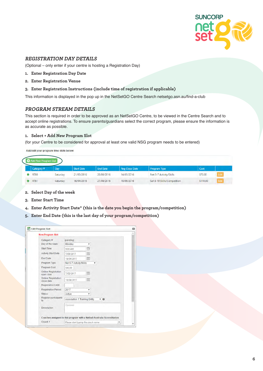

### **REGISTRATION DAY DETAILS**

(Optional – only enter if your centre is hosting a Registration Day)

- **1. Enter Registration Day Date**
- **2. Enter Registration Venue**
- **3. Enter Registration Instructions (include time of registration if applicable)**

This information is displayed in the pop up in the NetSetGO Centre Search netsetgo.asn.au/find-a-club

### **PROGRAM STREAM DETAILS**

This section is required in order to be approved as an NetSetGO Centre, to be viewed in the Centre Search and to accept online registrations. To ensure parents/guardians select the correct program, please ensure the information is as accurate as possible.

#### **1. Select + Add New Program Slot**

(for your Centre to be considered for approval at least one valid NSG program needs to be entered)

Add/edit your program time slots below:

| <b>Add New Program Slot</b> |          |                   |                 |                       |                             |          |      |  |
|-----------------------------|----------|-------------------|-----------------|-----------------------|-----------------------------|----------|------|--|
| Category #                  | Day      | <b>Start Date</b> | <b>End Date</b> | <b>Reg Close Date</b> | <b>Program Type</b>         | Cost     |      |  |
| 9780                        | Saturday | 21/05/2016        | 20/08/2016      | 14/05/2016            | Net 5-7 Activity/Skills     | \$70.00  | Edit |  |
| 9781                        | Saturday | 16/04/2016        | 27/08/2016      | 19/06/2016            | Set 8-10 Skills/Competition | \$110.00 | Edit |  |

- **2. Select Day of the week**
- **3. Enter Start Time**
- **4. Enter Activity Start Date\* (this is the date you begin the program/competition)**
- **5. Enter End Date (this is the last day of your program/competition)**

| <b>New Program Slot</b>                                                 |                                      |         |   |    |   |
|-------------------------------------------------------------------------|--------------------------------------|---------|---|----|---|
| Category #                                                              | (pending)                            |         |   |    |   |
| Day of the week                                                         | Monday                               | ۷       |   |    |   |
| <b>Start Time</b>                                                       | 9:00 AM                              | $\odot$ |   |    |   |
| <b>Activity Start Date</b>                                              | 7/03/2017                            | 面       |   |    |   |
| <b>End Date</b>                                                         | 18/04/2017                           | 圃       |   |    |   |
| Program Type                                                            | Net 5-7 Activity/Skills              |         | ۷ |    |   |
| <b>Program Cost</b>                                                     | \$90.00                              |         |   |    |   |
| <b>Online Registration</b><br>open date                                 | 7/02/2017                            | 画       |   |    |   |
| <b>Online Registration</b><br>close date                                | 18/04/2017                           | 画       |   |    |   |
| <b>Registration Limit</b>                                               |                                      |         |   |    |   |
| <b>Registration Period</b>                                              | 2017                                 | ۰       |   |    |   |
| <b>Status</b>                                                           | Active                               | ۰       |   |    |   |
| Register participants<br>to                                             | <b>Association 1 Training Entity</b> |         |   | 70 |   |
| <b>Description</b>                                                      | Optional                             |         |   |    |   |
| Coaches assigned to this program with a Netball Australia Accreditation |                                      |         |   |    |   |
| Coach 1                                                                 | Please start typing the coach name   |         |   |    | ۳ |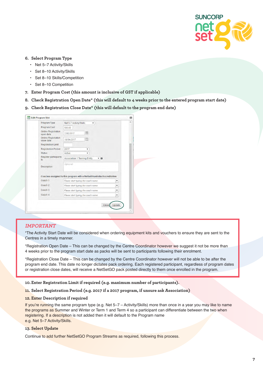

#### **6. Select Program Type**

- Net 5–7 Activity/Skills
- Set 8–10 Activity/Skills
- Set 8–10 Skills/Competition
- Set 8–10 Competition
- **7. Enter Program Cost (this amount is inclusive of GST if applicable)**
- **8. Check Registration Open Date\* (this will default to 4 weeks prior to the entered program start date)**
- **9. Check Registration Close Date\* (this will default to the program end date)**

| Program Type                                                                                                                   | Net 5-7 Activity/Skills              | ۳ |    |                          |  |
|--------------------------------------------------------------------------------------------------------------------------------|--------------------------------------|---|----|--------------------------|--|
| Program Cost                                                                                                                   | \$90.00                              |   |    |                          |  |
| <b>Online Registration</b><br>open date                                                                                        | 7/02/2017                            | 圃 |    |                          |  |
| <b>Online Registration</b><br>close date                                                                                       | 18/04/2017                           | 圃 |    |                          |  |
| <b>Registration Limit</b>                                                                                                      |                                      |   |    |                          |  |
| <b>Registration Period</b>                                                                                                     | 2017                                 | ۰ |    |                          |  |
| <b>Status</b>                                                                                                                  | Active                               | ۰ |    |                          |  |
| <b>Register participants</b><br>to                                                                                             | <b>Association 1 Training Entity</b> |   | 70 |                          |  |
| Description                                                                                                                    | Optional                             |   |    |                          |  |
|                                                                                                                                |                                      |   |    |                          |  |
|                                                                                                                                |                                      |   |    |                          |  |
|                                                                                                                                | Please start typing the coach name   |   |    | $\overline{\phantom{a}}$ |  |
|                                                                                                                                | Please start typing the coach name   |   |    | ۰                        |  |
| Coaches assigned to this program with a Netball Australia Accreditation<br>Coach 1<br>Coach <sub>2</sub><br>Coach <sub>3</sub> | Please start typing the coach name   |   |    | ٠                        |  |

#### **IMPORTANT**

\*The Activity Start Date will be considered when ordering equipment kits and vouchers to ensure they are sent to the Centres in a timely manner.

\*Registration Open Date – This can be changed by the Centre Coordinator however we suggest it not be more than 4 weeks prior to the program start date as packs will be sent to participants following their enrolment.

\*Registration Close Date – This can be changed by the Centre Coordinator however will not be able to be after the program end date. This date no longer dictates pack ordering. Each registered participant, regardless of program dates or registration close dates, will receive a NetSetGO pack posted directly to them once enrolled in the program.

#### **10.Enter Registration Limit if required (e.g. maximum number of participants).**

#### **11. Select Registration Period (e.g. 2017 if a 2017 program, if unsure ask Association)**

#### **12. Enter Description if required**

If you're running the same program type (e.g. Net 5-7 - Activity/Skills) more than once in a year you may like to name the programs as Summer and Winter or Term 1 and Term 4 so a participant can differentiate between the two when registering. If a description is not added then it will default to the Program name e.g. Net 5–7 Activity/Skills.

#### **13. Select Update**

Continue to add further NetSetGO Program Streams as required, following this process.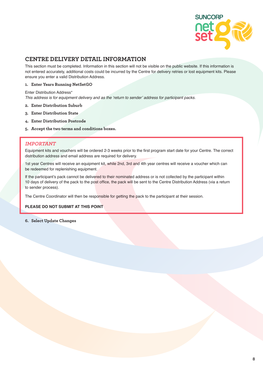

### **CENTRE DELIVERY DETAIL INFORMATION**

This section must be completed. Information in this section will not be visible on the public website. If this information is not entered accurately, additional costs could be incurred by the Centre for delivery retries or lost equipment kits. Please ensure you enter a valid Distribution Address.

### **1. Enter Years Running NetSetGO**

Enter Distribution Address\*

This address is for equipment delivery and as the 'return to sender' address for participant packs.

- **2. Enter Distribution Suburb**
- **3. Enter Distribution State**
- **4. Enter Distribution Postcode**
- **5. Accept the two terms and conditions boxes.**

### **IMPORTANT**

Equipment kits and vouchers will be ordered 2-3 weeks prior to the first program start date for your Centre. The correct distribution address and email address are required for delivery.

1st year Centres will receive an equipment kit, while 2nd, 3rd and 4th year centres will receive a voucher which can be redeemed for replenishing equipment.

If the participant's pack cannot be delivered to their nominated address or is not collected by the participant within 10 days of delivery of the pack to the post office, the pack will be sent to the Centre Distribution Address (via a return to sender process).

The Centre Coordinator will then be responsible for getting the pack to the participant at their session.

### **PLEASE DO NOT SUBMIT AT THIS POINT**

### **6. Select Update Changes**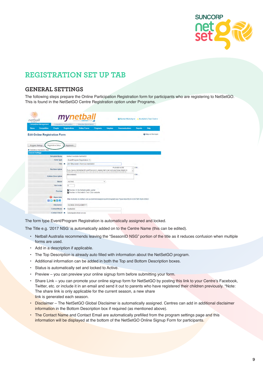

# **REGISTRATION SET UP TAB**

### **GENERAL SETTINGS**

The following steps prepare the Online Participation Registration form for participants who are registering to NetSetGO. This is found in the NetSetGO Centre Registration option under Programs.

| netball                              |                                               |                                  | mynetba                                                                                                                                                                |                 |                |                       |                | <b>☆ Rachel Mulcahy v &amp; Rochelle's Test Club v</b> |
|--------------------------------------|-----------------------------------------------|----------------------------------|------------------------------------------------------------------------------------------------------------------------------------------------------------------------|-----------------|----------------|-----------------------|----------------|--------------------------------------------------------|
| <b>Competition Management</b>        |                                               | <b>Competition Participation</b> | Website (SportzVault)                                                                                                                                                  |                 |                |                       |                |                                                        |
| <b>Competition</b><br>Home           | People                                        | <b>Registrations</b>             | <b>Online Forms</b>                                                                                                                                                    | <b>Programs</b> | <b>Umpires</b> | <b>Communications</b> | <b>Reports</b> | <b>Help</b>                                            |
| <b>Edit Online Registration Form</b> |                                               |                                  |                                                                                                                                                                        |                 |                |                       |                | <b>Q</b> Help on this topic                            |
|                                      |                                               |                                  |                                                                                                                                                                        |                 |                |                       |                |                                                        |
| Program Settings                     | <b>Registration Setup</b>                     | Registrants                      |                                                                                                                                                                        |                 |                |                       |                |                                                        |
| * Denotes a mandatory field.         |                                               |                                  |                                                                                                                                                                        |                 |                |                       |                |                                                        |
| <b>General Settings</b>              |                                               |                                  |                                                                                                                                                                        |                 |                |                       |                |                                                        |
|                                      | <b>Template Name</b>                          |                                  | Netball Australia NetSetGO                                                                                                                                             |                 |                |                       |                |                                                        |
|                                      | Form Type                                     |                                  | Event/Program Registration ▼                                                                                                                                           |                 |                |                       |                |                                                        |
|                                      | Title                                         | $\ast$                           | 2017 Rochelle's Test Club NetSetGO                                                                                                                                     |                 |                |                       |                |                                                        |
|                                      | <b>Top Description</b>                        |                                  | If you have a MyNetball ID and Password, please start over and use those details to<br>basis the signum progress You can sheek to see Kyou are an Muttathell elegady b |                 |                | PLEASE NOTE<br>ü<br>٠ | Edit           |                                                        |
|                                      | <b>Bottom Description</b>                     | (Not entered)                    |                                                                                                                                                                        |                 |                |                       | Edit.          |                                                        |
|                                      | <b>Status</b>                                 | <b>ACTIVE</b>                    |                                                                                                                                                                        |                 | ۰              |                       |                |                                                        |
|                                      | Sort order                                    | $\overline{5}$                   |                                                                                                                                                                        |                 |                |                       |                |                                                        |
|                                      | Preview                                       |                                  | Preview in MyNetball public portal<br><b>In</b> Preview in Rochelle's Test Club website                                                                                |                 |                |                       |                |                                                        |
| ฌ                                    | <b>Share Link</b><br>$f \times S$ in $\Omega$ |                                  | http://rochelle.vic.netball.com.au/common/pages/noauth/olregstart.aspx?type=6&entityid=52657&fl=1&id=20564                                                             |                 |                |                       |                |                                                        |
|                                      | <b>Disclaimer</b>                             |                                  | <b>GLOBAL DISCLAIMER +</b>                                                                                                                                             |                 |                |                       |                |                                                        |
|                                      | <b>Contact Name</b>                           | ×.<br>NetSetGO                   |                                                                                                                                                                        |                 |                |                       |                |                                                        |
|                                      |                                               |                                  |                                                                                                                                                                        |                 |                |                       |                |                                                        |

The form type Event/Program Registration is automatically assigned and locked.

The Title e.g. '2017 NSG' is automatically added on to the Centre Name (this can be edited).

- Netball Australia recommends leaving the "SeasonID NSG" portion of the title as it reduces confusion when multiple forms are used.
- Add in a description if applicable.
- The Top Description is already auto filled with information about the NetSetGO program.
- Additional information can be added in both the Top and Bottom Description boxes.
- Status is automatically set and locked to Active.
- Preview you can preview your online signup form before submitting your form.
- Share Link you can promote your online signup form for NetSetGO by posting this link to your Centre's Facebook, Twitter, etc. or include it in an email and send it out to parents who have registered their children previously. \*Note: The share link is only applicable for the current season, a new share link is generated each season.
- Disclaimer The NetSetGO Global Disclaimer is automatically assigned. Centres can add in additional disclaimer information in the Bottom Description box if required (as mentioned above).
- The Contact Name and Contact Email are automatically prefilled from the program settings page and this information will be displayed at the bottom of the NetSetGO Online Signup Form for participants.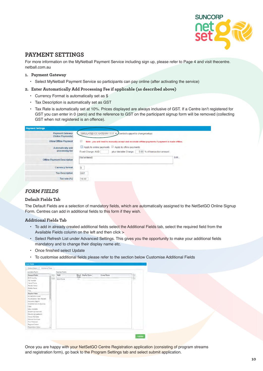

### **PAYMENT SETTINGS**

For more information on the MyNetball Payment Service including sign up, please refer to Page 4 and visit thecentre. netball.com.au

### **1. Payment Gateway**

- Select MyNetball Payment Service so participants can pay online (after activating the service)
- **2. Enter Automatically Add Processing Fee if applicable (as described above)**
	- Currency Format is automatically set as \$
	- Tax Description is automatically set as GST
	- Tax Rate is automatically set at 10%. Prices displayed are always inclusive of GST. If a Centre isn't registered for GST you can enter in 0 (zero) and the reference to GST on the participant signup form will be removed (collecting GST when not registered is an offence).

| <b>Payment Settings</b>                     |                                                                                                                                  |
|---------------------------------------------|----------------------------------------------------------------------------------------------------------------------------------|
| <b>Payment Gateway</b><br>(Online Payments) | SIMULATED CC GATEWAY 1111 . Contact support to change/setup)                                                                     |
| <b>Allow Offline Payment</b>                | u<br>Note - you will need to manually accept and reconcile offline payments if payment is made offline.                          |
| Automatically add<br>processing fee         | Apply to online payments Apply to offline payments<br>0.00 % of transaction amount<br>Fixed Charge: AUD<br>plus Variable Charge: |
| <b>Offline Payment Description</b>          | Edit<br>(Not entered)                                                                                                            |
| <b>Currency format</b>                      | $\mathsf{s}$                                                                                                                     |
| <b>Tax Description</b>                      | GST                                                                                                                              |
| Tax rate (%)                                | 10.00                                                                                                                            |

### **FORM FIELDS**

#### **Default Fields Tab**

The Default Fields are a selection of mandatory fields, which are automatically assigned to the NetSetGO Online Signup Form. Centres can add in additional fields to this form if they wish.

#### **Additional Fields Tab**

- To add in already created additional fields select the Additional Fields tab, select the required field from the Available Fields column on the left and then click >
- Select Refresh List under Advanced Settings. This gives you the opportunity to make your additional fields mandatory and to change their display name etc.
- Once finished select Update
- To customise additional fields please refer to the section below Customise Additional Fields

| Altridonal Fesso<br>Defailt Felix |     |                 |               |              |            |           |
|-----------------------------------|-----|-----------------|---------------|--------------|------------|-----------|
| Available Fields                  |     | Selected Fields |               |              |            |           |
| General Fields                    |     | Field:          | Mand<br>Field | Display Name | Group Name | Ur)       |
| Birth Country<br>Tai Rumber       | tmi | Walk Phone      | 一             |              |            | $\hat{y}$ |
| HamePhone                         |     |                 |               |              |            | m         |
| Médèri Nime                       |     |                 |               |              |            |           |
| Middle Name                       |     |                 |               |              |            |           |
| Title.                            |     |                 |               |              |            |           |
| <b>Umpire Fields</b>              |     |                 |               |              |            |           |
| Accreditation Uniti               |     |                 |               |              |            |           |
| Acceptation vasi Attaned          |     |                 |               |              |            |           |
| Allocation Region.                |     |                 |               |              |            |           |
| Available Mott-En Daytime.        |     |                 |               |              |            |           |
| <b>Class</b>                      |     |                 |               |              |            |           |
| Days Available                    |     |                 |               |              |            |           |
| Double Up (reserves).             |     |                 |               |              |            |           |
| Double Up (weekend)               |     |                 |               |              |            |           |
| Eitness Test Date                 |     |                 |               |              |            |           |
| Médical Certificane               |     |                 |               |              |            |           |
| <b>Print Frederind</b>            |     |                 |               |              |            |           |
| Segurial Centre                   |     |                 |               |              |            |           |
| <b>Registration Rooker</b><br>۰   |     |                 |               |              |            |           |

Once you are happy with your NetSetGO Centre Registration application (consisting of program streams and registration form), go back to the Program Settings tab and select submit application.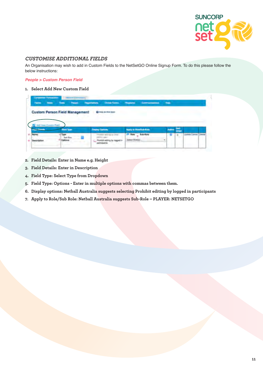

### **CUSTOMISE ADDITIONAL FIELDS**

An Organisation may wish to add in Custom Fields to the NetSetGO Online Signup Form. To do this please follow the below instructions:

#### **People > Custom Person Field**

### **1. Select Add New Custom Field**

| Home. | <b>Thomas</b> | <b>Tools</b>                          | People | <b>Tegematians</b> | Draw Forms Themans         |                                    | <b>Commercial</b> | $\sim$  |  |  |
|-------|---------------|---------------------------------------|--------|--------------------|----------------------------|------------------------------------|-------------------|---------|--|--|
|       |               | <b>Custom Person Field Management</b> |        |                    | <b>Q</b> Help on this loan |                                    |                   |         |  |  |
|       |               |                                       |        |                    |                            |                                    |                   |         |  |  |
|       |               |                                       |        |                    |                            |                                    |                   |         |  |  |
|       |               | <b>Finds Type</b>                     |        |                    | <b>Country Collors</b>     | <b>Aparty to ProverTrain Water</b> |                   | ومنازله |  |  |

- **2. Field Details: Enter in Name e.g. Height**
- **3. Field Details: Enter in Description**
- **4. Field Type: Select Type from Dropdown**
- **5. Field Type: Options Enter in multiple options with commas between them.**
- **6. Display options: Netball Australia suggests selecting Prohibit editing by logged in participants**
- **7. Apply to Role/Sub Role: Netball Australia suggests Sub-Role PLAYER: NETSETGO**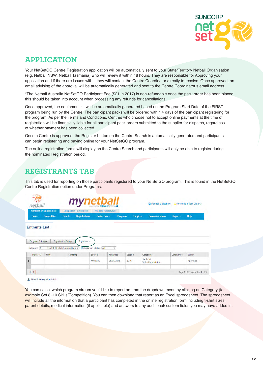

# **APPLICATION**

Your NetSetGO Centre Registration application will be automatically sent to your State/Territory Netball Organisation (e.g. Netball NSW, Netball Tasmania) who will review it within 48 hours. They are responsible for Approving your application and if there are issues with it they will contact the Centre Coordinator directly to resolve. Once approved, an email advising of the approval will be automatically generated and sent to the Centre Coordinator's email address.

\*The Netball Australia NetSetGO Participant Fee (\$21 in 2017) is non-refundable once the pack order has been placed – this should be taken into account when processing any refunds for cancellations.

Once approved, the equipment kit will be automatically generated based on the Program Start Date of the FIRST program being run by the Centre. The participant packs will be ordered within 4 days of the participant registering for the program. As per the Terms and Conditions, Centres who choose not to accept online payments at the time of registration will be financially liable for all participant pack orders submitted to the supplier for dispatch, regardless of whether payment has been collected.

Once a Centre is approved, the Register button on the Centre Search is automatically generated and participants can begin registering and paying online for your NetSetGO program.

The online registration forms will display on the Centre Search and participants will only be able to register during the nominated Registration period.

# **REGISTRANTS TAB**

This tab is used for reporting on those participants registered to your NetSetGO program. This is found in the NetSetGO Centre Registration option under Programs.



#### **Entrante Liet**

|   | Program Settings |       | <b>Registration Setup</b><br>Registrants |                                   |                 |        |                                |             |                                 |
|---|------------------|-------|------------------------------------------|-----------------------------------|-----------------|--------|--------------------------------|-------------|---------------------------------|
|   | Category: (      |       | Set 8-10 Skills/Competition v            | <b>Registration Status:   All</b> | ▼               |        |                                |             |                                 |
|   | Player ID        | First | Sumame                                   | Source                            | <b>Reg Date</b> | Season | Category                       | Categorical | Status                          |
| ゝ |                  |       |                                          | <b>MANUAL</b>                     | 26/05/2016      | 2016   | Set 8-10<br>Skills/Competition |             | Approved                        |
|   | $\overline{2}$   |       |                                          |                                   |                 |        |                                |             | Page 2 of 2, items 9 to 9 of 9. |

L Download registrants list

You can select which program stream you'd like to report on from the dropdown menu by clicking on Category (for example Set 8–10 Skills/Competition). You can then download that report as an Excel spreadsheet. The spreadsheet will include all the information that a participant has completed in the online registration form including t-shirt sizes, parent details, medical information (if applicable) and answers to any additional/ custom fields you may have added in.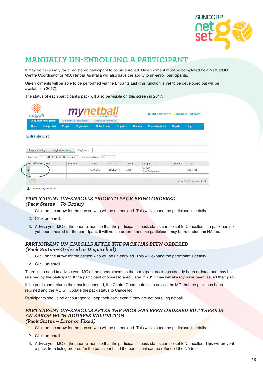

# **MANUALLY UN-ENROLLING A PARTICIPANT**

It may be necessary for a registered participant to be un-enrolled. Un-enrolment must be completed be a NetSetGO Centre Coordinator or MO. Netball Australia will also have the ability to un-enroll participants.

Un-enrolments will be able to be performed via the Entrants List (this function is yet to be developed but will be available in 2017).

The status of each participant's pack will also be visible on this screen in 2017.

| Ñ<br>netball<br><b>AUSTRALIA</b> |                               | mynetbalı<br>powered by interactsPORTLE |                                  |                       |                 |                | Rochelle's Test Club v<br><b>☆ Rachel Mulcahy &gt;</b> |                |      |
|----------------------------------|-------------------------------|-----------------------------------------|----------------------------------|-----------------------|-----------------|----------------|--------------------------------------------------------|----------------|------|
|                                  | <b>Competition Management</b> |                                         | <b>Competition Participation</b> | Website (SportzVault) |                 |                |                                                        |                |      |
| Home                             | <b>Competition</b>            | People                                  | <b>Registrations</b>             | <b>Online Forms</b>   | <b>Programs</b> | <b>Umpires</b> | <b>Communications</b>                                  | <b>Reports</b> | Help |

| Category:                 | Set 8-10 Skills/Competition v | <b>Registration Status: All</b> |                 |        |                                |            |          |
|---------------------------|-------------------------------|---------------------------------|-----------------|--------|--------------------------------|------------|----------|
| First<br>Player <b>ID</b> | Surname                       | Source                          | <b>Reg Date</b> | Season | Category                       | Category # | Status   |
|                           |                               | <b>MANUAL</b>                   | 26/05/2016      | 2016   | Set 8-10<br>Skills/Competition |            | Approved |
|                           |                               |                                 |                 |        |                                |            |          |

Download registrants list

### **PARTICIPANT UN-ENROLLS PRIOR TO PACK BEING ORDERED (Pack Status – To Order)**

- 1. Click on the arrow for the person who will be un-enrolled. This will expand the participant's details.
- 2. Click un-enroll.
- 3. Advise your MO of the unenrolment so that the participant's pack status can be set to Cancelled. If a pack has not yet been ordered for the participant, it will not be ordered and the participant may be refunded the NA fee.

### **PARTICIPANT UN-ENROLLS AFTER THE PACK HAS BEEN ORDERED (Pack Status – Ordered or Dispatched)**

- 1. Click on the arrow for the person who will be un-enrolled. This will expand the participant's details.
- 2. Click un-enroll.

There is no need to advise your MO of the unenrolment as the participant pack has already been ordered and may be retained by the participant. If the participant chooses to enroll later in 2017 they will already have been issued their pack.

If the participant returns their pack unopened, the Centre Coordinator is to advise the MO that the pack has been returned and the MO will update the pack status to Cancelled.

Participants should be encouraged to keep their pack even if they are not pursuing netball.

### **PARTICIPANT UN-ENROLLS AFTER THE PACK HAS BEEN ORDERED BUT THERE IS AN ERROR WITH ADDRESS VALIDATION (Pack Status – Error or Fixed)**

- 1. Click on the arrow for the person who will be un-enrolled. This will expand the participant's details.
- 2. Click un-enroll.
- 3. Advise your MO of the unenrolment so that the participant's pack status can be set to Cancelled. This will prevent a pack from being ordered for the participant and the participant can be refunded the NA fee.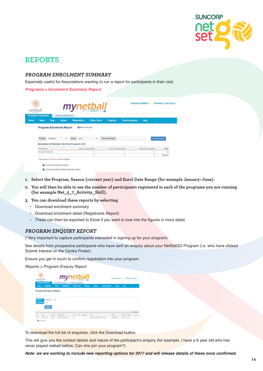

# **REPORTS**

### **PROGRAM ENROLMENT SUMMARY**

Especially useful for Associations wanting to run a report for participants in their club.

**Programs > Enrolment Summary Report**

|      | netball<br>Competition Participation |              | Website (SponzWaut)             | mynetball                                            |                          |                        |                       |                       |                |
|------|--------------------------------------|--------------|---------------------------------|------------------------------------------------------|--------------------------|------------------------|-----------------------|-----------------------|----------------|
| Home | Tasks                                | <b>Tools</b> | People                          | <b>Registrations</b>                                 | Online Forms             | <b>Programs</b>        | <b>Communications</b> | Help                  |                |
|      |                                      |              | <b>Program Enrolment Report</b> | C Help on this topic                                 |                          |                        |                       |                       |                |
|      | Program                              | hartfart30   | $\cdot$                         | 2015<br>Season                                       | $\bullet$ .              | Enrol Date Range       |                       |                       | Camerale Rappy |
|      |                                      |              |                                 | Enrolments for Rochelle's Test Club for period: 2015 |                          |                        |                       |                       |                |
|      |                                      |              |                                 |                                                      | Net 5.7, Artists, Skiln. | Set 8.15 Actions State |                       | Set, 8,10 Competition | Total          |
|      | Entry Name                           |              |                                 |                                                      |                          |                        |                       |                       |                |
|      | Rochelle's Test Club                 |              |                                 |                                                      |                          |                        |                       |                       |                |
|      |                                      |              |                                 |                                                      |                          |                        | ż                     |                       | Total: 6       |

- **1. Select the Program, Season (current year) and Enrol Date Range (for example January–June).**
- **2. You will then be able to see the number of participants registered in each of the programs you are running (for example Net\_5\_7\_Activity\_Skill).**
- **3. You can download these reports by selecting**
	- Download enrolment summary
	- Download enrolment detail (Registrants Report)
	- These can then be exported to Excel if you want to look into the figures in more detail

### **PROGRAM ENQUIRY REPORT**

(\*Very important to capture participants interested in signing up for your program)

See details from prospective participants who have sent an enquiry about your NetSetGO Program (i.e. who have clicked Submit Interest on the Centre Finder).

Ensure you get in touch to confirm registration into your program.

*Reports > Program Enquiry Report*

| 藻<br>netball<br>Competition Management |                               |          | mynetball<br>Western players last<br>Competitive Parlinguism |                     |  |              |               |                | <b>Rachalla Flimers w</b><br><b>Bankelo's Taxi Oluk</b> |                |                  |                        |
|----------------------------------------|-------------------------------|----------|--------------------------------------------------------------|---------------------|--|--------------|---------------|----------------|---------------------------------------------------------|----------------|------------------|------------------------|
| Home                                   | Competition                   |          | <b>Fagistrations</b><br>Pargio                               | <b>Deline Forms</b> |  | Programs     | <b>Urgman</b> | Communications |                                                         | <b>Reports</b> | <b>Hotel</b>     |                        |
|                                        | <b>Program Enquiry Report</b> |          |                                                              |                     |  |              |               |                |                                                         |                |                  |                        |
|                                        |                               |          |                                                              |                     |  |              |               |                |                                                         |                |                  |                        |
|                                        |                               |          |                                                              |                     |  |              |               |                |                                                         |                |                  |                        |
|                                        | NetSetOO                      | ٠        |                                                              |                     |  |              |               |                |                                                         |                |                  |                        |
|                                        | ٠                             |          |                                                              |                     |  |              |               |                |                                                         |                |                  |                        |
|                                        | <b>Search</b>                 |          |                                                              |                     |  |              |               |                |                                                         |                |                  |                        |
| Pergram<br>Organization                |                               |          |                                                              |                     |  |              |               |                |                                                         |                |                  |                        |
| D.                                     | Date                          | $D = 10$ | Snanisten                                                    | State               |  | Day Catagory | <b>Lisal</b>  |                |                                                         | Poste          | Participant Name | <b>G Ketash</b><br>Apr |

To download the full list of enquiries, click the Download button.

This will give you the contact details and nature of the participant's enquiry (for example, I have a 6 year old who has never played netball before. Can she join your program?)

**Note: we are working to include new reporting options for 2017 and will release details of these once confirmed.**